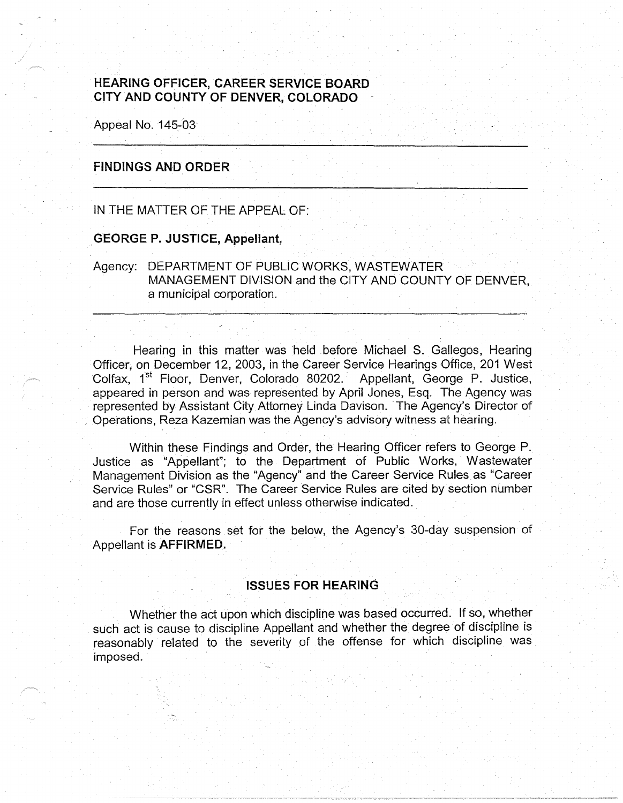# **HEARING OFFICER, CAREER SERVICE BOARD CITY AND COUNTY OF DENVER, COLORADO**

Appeal No. 145-03

## **FINDINGS AND ORDER**

IN THE MATTER OF THE APPEAL OF:

## **GEORGE P. JUSTICE, Appellant,**

Agency: DEPARTMENT OF PUBLIC WORKS, WASTEWATER MANAGEMENT DIVISION and the CITY AND COUNTY OF DENVER. a municipal corporation.

Hearing in this matter was held before Michael S. Gallegos, Hearing Officer, on December 12, 2003, in the Career Service Hearings Office, 201 West Colfax, 1<sup>st</sup> Floor, Denver, Colorado 80202. Appellant, George P. Justice, appeared in person and was represented by April Jones, Esq. The Agency was represented by Assistant City Attorney Linda Davison. The Agency's Director of Operations, Reza Kazemian was the Agency's advisory witness at hearing.

Within these Findings and Order, the Hearing Officer refers to George P. Justice as "Appellant"; to the Department of Public Works, Wastewater Management Division as the "Agency" and the Career Service Rules as "Career Service Rules" or "CSR". The Career Service Rules are cited by section number and are those currently in effect unless otherwise indicated.

For the reasons set for the below, the Agency's 30-day suspension of Appellant is **AFFIRMED.** 

## **ISSUES FOR HEARING**

Whether the act upon which discipline was based occurred. If so, whether such act is cause *to* discipline Appellant and whether the degree of discipline is reasonably related *to* the severity of the offense for which discipline was imposed.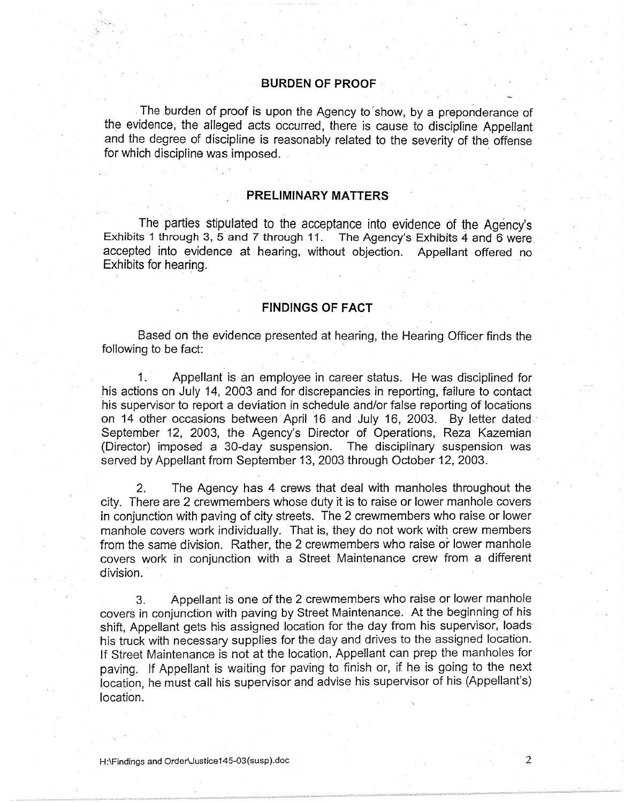#### **BURDEN OF PROOF** ·

. The burden of proof is upon the Agency to'show, by a preponderance of the evidence, the alleged acts occurred, there is cause to discipline Appellant and the degree of discipline is reasonably related to the severity of the offense for which discipline was imposed.

#### **PRELIMINARY MATTERS**

. .

The parties stipulated to the acceptance into evidence of the Agency's Exhibits 1 through 3, 5 and 7 through 11. The Agency's Exhibits 4 and 6 were accepted into evidence at hearing, without objection. Appellant offered no Exhibits for hearing.

## **FINDINGS OF FACT**

Based on the evidence presented at hearing, the Hearing Officer finds the following to be fact:

1. Appellant is an employee in career status. He was disciplined for his actions on July 14, 2003 and for discrepancies in reporting, failure to contact his supervisor to report a deviation in schedule and/or false reporting of locations on 14 other occasions between April 16 and July 16, 2003. By letter dated September 12, 2003, the Agency's Director of Operations, Reza Kazemian (Director) imposed a 30-day suspension. The disciplinary suspension was served by Appellant from September 13, 2003 through October 12, 2003.

2. The Agency has 4 crews that deal with manholes throughout the city. There are 2 crewmembers whose duty it is to raise or lower manhole covers in conjunction with paving of city streets. The 2 crewmembers who raise or lower manhole covers work individually. That is, they do not work with crew members from the same division. Rather, the 2 crewmembers who raise or lower manhole covers work in conjunction with a Street Maintenance crew from a different division.

3. Appellant is one of the 2 crewmembers who raise or lower manhole covers in conjunction with paving by Street Maintenance. At the beginning of his shift, Appellant gets his assigned location for the day from his supervisor, loads his truck with necessary supplies for the day and drives to the assigned location. If Street Maintenance is not at the location, Appellant can prep the manholes for paving. If Appellant is waiting for paving to finish or, if he is going to the next location, he must call his supervisor and advise his supervisor of his (Appellant's) location.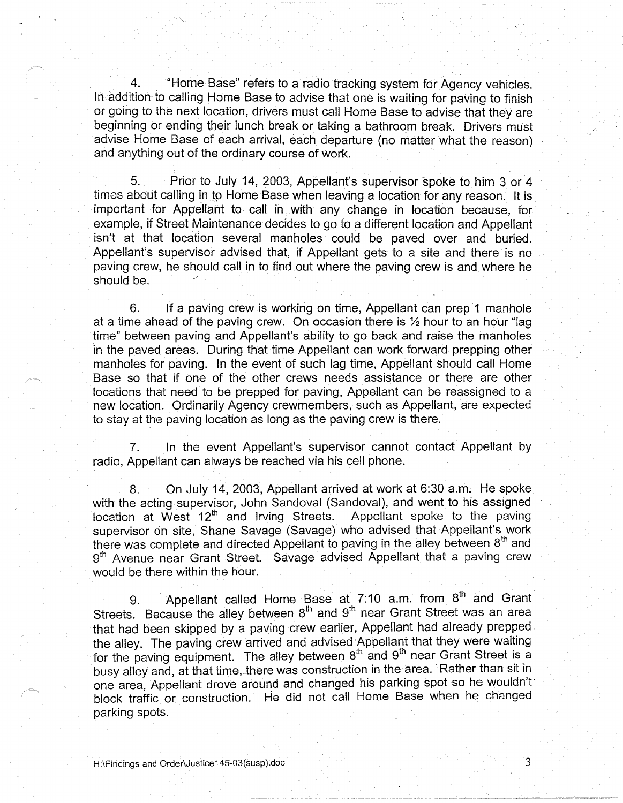4. . "Home Base" refers to a radio tracking system for Agency vehicles. In addition to calling Home Base to advise that one is waiting for paving to finish or going to the next location, drivers must call Home Base to advise that they are beginning or ending their lunch break or taking a bathroom break. Drivers must advise Home Base of each arrival, each departure (no matter what the reason) and anything out of the ordinary course of work.

5. Prior to July 14, 2003, Appellant's supervisor spoke to him 3 or 4 times about calling in to Home Base when leaving a location for any reason. It is important for Appellant to call in with any change in location because, for example, if Street Maintenance decides to go to a different location and Appellant isn't at that location several manholes could be paved over and buried. Appellant's supervisor advised that, if Appellant gets to a site and there is no paving crew, he should call in to find out where the paving crew is and where he should be.

6. If a paving crew is working on time, Appellant can prep 1 manhole at a time ahead of the paving crew. On occasion there is ½ hour to an hour "lag time" between paving and Appellant's ability to go back and raise the manholes in the paved areas. During that time Appellant can work forward prepping other manholes for paving. In the event of such lag time, Appellant should call Home Base so that if one of the other crews needs assistance or there are other locations that need to be prepped for paving, Appellant can be reassigned to a new location. Ordinarily Agency crewmembers, such as Appellant, are expected to stay at the paving location as long as the paving crew is there.

7. In the event Appellant's supervisor cannot contact Appellant by radio, Appellant can always be reached via his cell phone.

8. On July 14, 2003, Appellant arrived at work at 6:30 a.m. He spoke with the acting supervisor, John Sandoval (Sandoval), and went to his assigned location at West  $12<sup>th</sup>$  and Irving Streets. Appellant spoke to the paving supervisor on site. Shane Savage (Savage) who advised that Appellant's work there was complete and directed Appellant to paving in the alley between  $8<sup>th</sup>$  and 9<sup>th</sup> Avenue near Grant Street. Savage advised Appellant that a paving crew would be there within the hour.

9. Appellant called Home Base at 7:10 a.m. from 8<sup>th</sup> and Grant Streets. Because the alley between  $8<sup>th</sup>$  and  $9<sup>th</sup>$  near Grant Street was an area that had been skipped by a paving crew earlier, Appellant had already prepped the alley. The paving crew arrived and advised Appellant that they were waiting for the paving equipment. The alley between  $8<sup>th</sup>$  and  $9<sup>th</sup>$  near Grant Street is a busy alley and, at that time, there was construction in the area. Rather than sit in one area, Appellant drove around and changed his parking spot so he wouldn't· block traffic or construction. He did not call Home Base when he changed parking spots.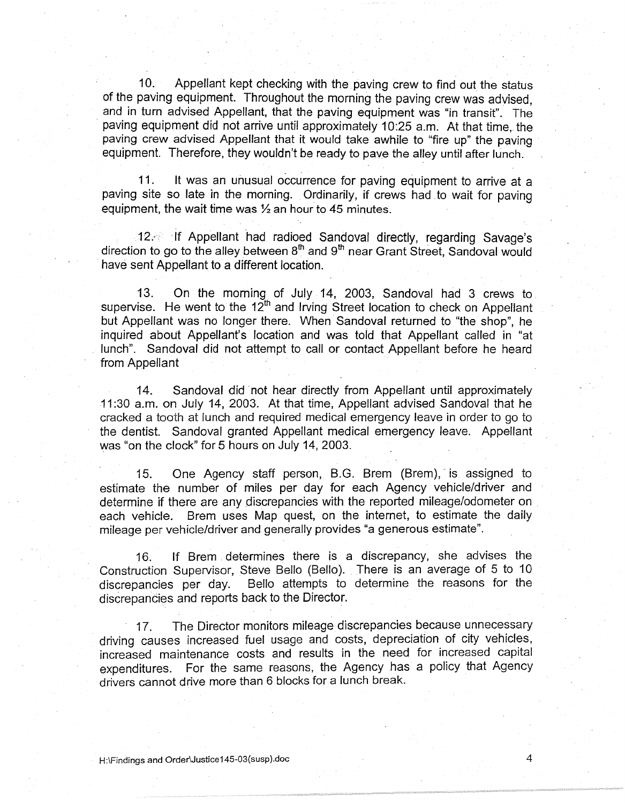10. Appellant kept checking with the paving crew to find out the status of the paving equipment. Throughout the morning the paving crew was advised, and in turn advised Appellant, that the paving equipment was "in transit". The paving equipment did not arrive until approximately 10:25 a.m. At that time, the paving crew advised Appellant that it would take awhile to "fire up" the paving equipment. Therefore, they wouldn't be ready to pave the alley until after lunch.

11. It was an unusual occurrence for paving equipment to arrive at a paving site so late in the morning. Ordinarily, if crews had to wait for paving equipment, the wait time was  $\frac{1}{2}$  an hour to 45 minutes.

12. If Appellant had radioed Sandoval directly, regarding Savage's direction to go to the alley between  $8<sup>th</sup>$  and  $9<sup>th</sup>$  near Grant Street, Sandoval would have sent Appellant to a different location.

13. On the morning of July 14, 2003, Sandoval had 3 crews to. supervise. He went to the  $12<sup>th</sup>$  and Irving Street location to check on Appellant but Appellant was no longer there. When Sandoval returned to "the shop", he inquired about Appellant's location and was toid that Appellant called in "at lunch". Sandoval did not attempt to call or contact Appellant before he heard from Appellant

14. Sandoval did not hear directly from Appellant until approximately 11 :30 a.m. on July 14, 2003. At that time, Appellant advised Sandoval that he cracked a tooth at lunch and required medical emergency leave in order to go to the dentist. Sandoval granted Appellant medical emergency leave. Appellant was "on the clock" for 5 hours on July 14, 2003.

15. One Agency staff person, B.G. Brem (Brem), is assigned to estimate the number of miles per day for each Agency vehicle/driver and determine if there are any discrepancies with the reported mileage/odometer on each vehicle. Brem uses Map quest, on the internet, to estimate the daily mileage per vehicle/driver and generally provides "a generous estimate".

16. If Brem . determines there is a discrepancy, she advises the Construction Supervisor, Steve Bello (Bello). There is an average of 5 to 10 discrepancies per day. Bello attempts to determine the reasons for the discrepancies and reports back to the Director.

17. The Director monitors mileage discrepancies because unnecessary driving causes increased fuel usage and costs, depreciation of city vehicles, increased maintenance costs and results in the need for increased capital expenditures. For the same reasons, the Agency has a policy that Agency drivers cannot drive more than 6 blocks for a lunch break.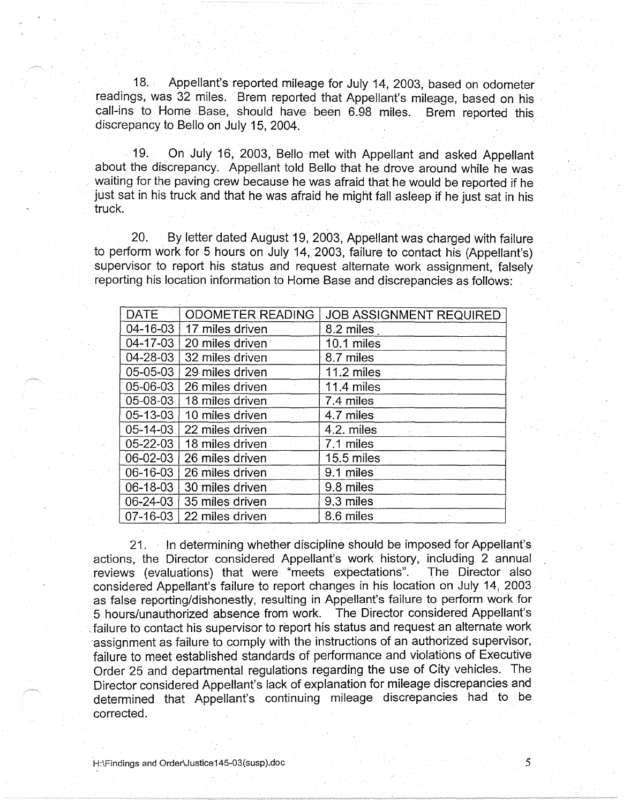18. Appellant's reported mileage for July 14, 2003, based on odometer readings, was 32 miles. Brem reported that Appellant's mileage, based on his call-ins to Home Base, should have been 6.98 miles. Brem reported this discrepancy to Bello on July 15, 2004.

19. On July 16, 2003, Bello met with Appellant and asked Appellant about the discrepancy. Appellant told Bello that he drove around while he was waiting for the paving crew because he was afraid that he would be reported if he just sat in his truck and that he was afraid he might fall asleep if he just sat in his truck.

20. By letter dated August 19, 2003, Appellant was charged with failure to perform work for 5 hours on July 14,2003, failure to contact his (Appellant's) supervisor to report his status and request alternate work assignment, falsely reporting his location information to Home Base and discrepancies as follows:

| <b>DATE</b>    | ODOMETER READING | <b>JOB ASSIGNMENT REQUIRED</b> |
|----------------|------------------|--------------------------------|
| 04-16-03       | 17 miles driven  | 8.2 miles                      |
| 04-17-03       | 20 miles driven  | 10.1 miles                     |
| 04-28-03       | 32 miles driven  | 8.7 miles                      |
| 05-05-03       | 29 miles driven  | 11.2 miles                     |
| 05-06-03       | 26 miles driven  | 11.4 miles                     |
| 05-08-03       | 18 miles driven  | 7.4 miles                      |
| 05-13-03       | 10 miles driven  | 4.7 miles                      |
| $05 - 14 - 03$ | 22 miles driven  | 4.2. miles                     |
| $05 - 22 - 03$ | 18 miles driven  | 7.1 miles                      |
| 06-02-03       | 26 miles driven  | 15.5 miles                     |
| 06-16-03       | 26 miles driven  | 9.1 miles                      |
| 06-18-03       | 30 miles driven  | 9.8 miles                      |
| $06 - 24 - 03$ | 35 miles driven  | 9.3 miles                      |
| 07-16-03       | 22 miles driven  | 8.6 miles                      |

21. In determining whether discipline should be imposed for Appellant's actions, the Director considered Appellant's work history, including 2 annual reviews (evaluations) that were "meets expectations". The Director also considered Appellant's failure to report changes in his location on July 14, 2003 · as false reporting/dishonestly, resulting in Appellant's failure to perform work for 5 hours/unauthorized absence from work. The Director considered Appellant's <sup>~</sup>failure to contact his supervisor to report his status and request an alternate work assignment as failure to comply with the instructions of an authorized supervisor, failure to meet established standards of performance and violations of Executive Order 25 and departmental regulations regarding the use of City vehicles. The Director considered Appellant's lack of explanation for mileage discrepancies and determined that Appellant's continuing mileage discrepancies had to be corrected.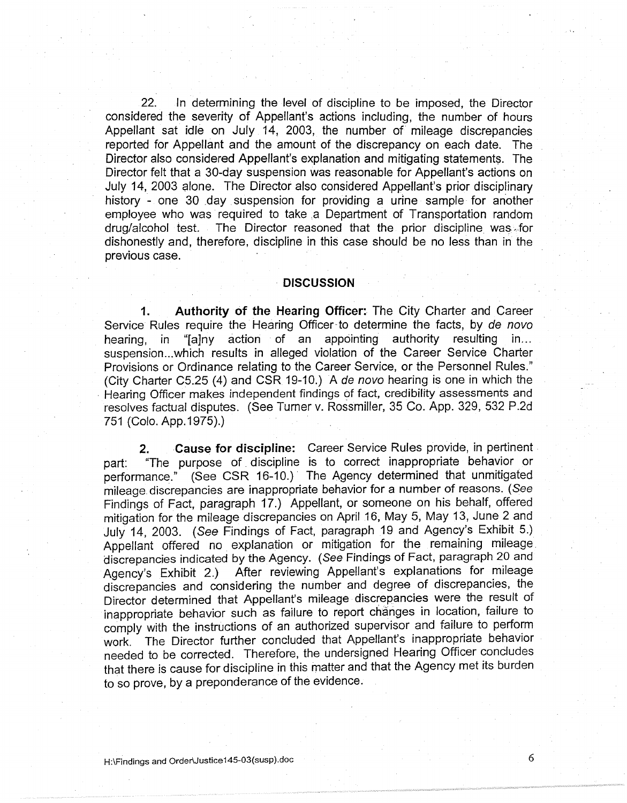22. In determining the level of discipline to be imposed, the Director considered the severity of Appellant's actions including, the number of hours Appellant sat idle on July 14, 2003, the number of mileage discrepancies reported for Appellant and the amount of the discrepancy on each date. The Director also considered Appellant's explanation and mitigating statements. The Director felt that a 30-day suspension was reasonable for Appellant's actions on July 14, 2003 alone. The Director also considered Appellant's prior disciplinary history - one 30 day suspension for providing a urine sample for another employee who was· required to take .a Department of Transportation random drug/alcohol test. The Director reasoned that the prior discipline was for dishonestly and, therefore, discipline in this case should be no less than in the previous case.

#### · **DISCUSSION**

**1. Authority of the Hearing Officer:** The City Charter and Career Service Rules require the Hearing Officer to determine the facts, by de novo hearing, in "[a]ny action of an appointing authority resulting in... suspension... which results in alleged violation of the Career Service Charter Provisions or Ordinance relating to the Career Service, or the Personnel Rules." (City Charter C5.25 (4) and CSR 19-10.) A de nova hearing is one in which the • Hearing Officer makes independent findings of fact, credibility assessments and resolves factual disputes. (See Turner v. Rossmiller, 35 Co. App. 329, 532 P.2d 751 (Colo. App.1975).)

**2. Cause for discipline:** Career Service Rules provide, in pertinent . part: "The purpose of. discipline is to correct inappropriate behavior or performance." (See CSR 16-10.) The Agency determined that unmitigated mileage discrepancies are inappropriate behavior for a number of reasons. (See Findings of Fact, paragraph 17.) Appellant, or someone on his behalf, offered mitigation for the mileage discrepancies on April 16, May 5, May 13, June 2 and July 14, 2003. (See Findings of Fact, paragraph 19 and Agency's Exhibit 5.) Appellant offered no explanation or mitigation for the remaining mileage. discrepancies indicated by the Agency. (See Findings of Fact, paragraph 20 and Agency's Exhibit 2.) After reviewing Appellant's explanations for mileage discrepancies and considering the number and degree of discrepancies, the Director determined that Appellant's mileage discrepancies were the result of inappropriate behavior such as failure *to* report changes in location, failure to comply with the instructions of an authorized supervisor and failure *to* perform work. The Director further concluded that Appellant's inappropriate behavior needed *to* be corrected. Therefore, the undersigned Hearing Officer concludes that there is cause for discipline in this matter and that the Agency met its burden to so prove, by a preponderance of the evidence.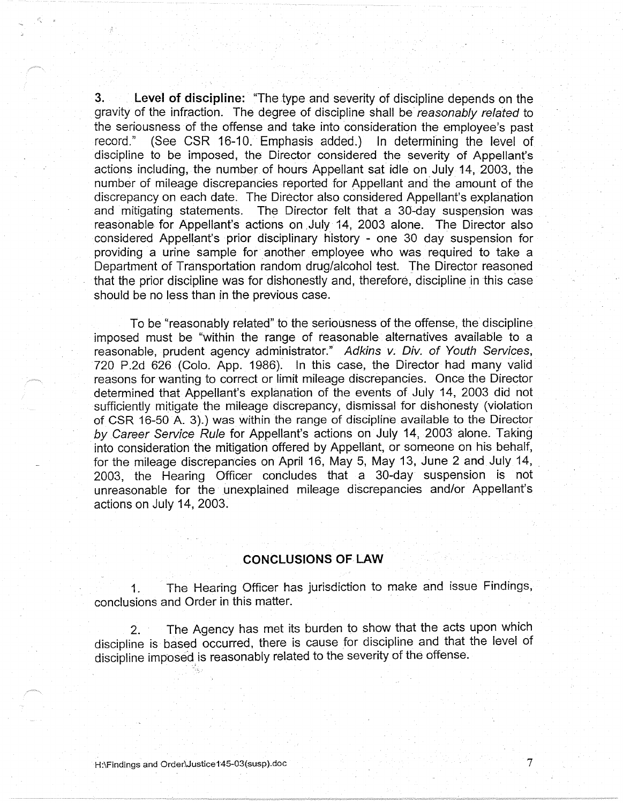**3. Level of discipline:** "The type and severity of discipline depends on the gravity of the infraction. The degree of discipline shall be reasonably related to the seriousness of the offense and take into consideration the employee's past record." (See CSR 16-10. Emphasis added.) In determining the level of discipline to be imposed, the Director considered the severity of Appellant's actions including, the number of hours Appellant sat idle on July 14, 2003, the number of mileage discrepancies reported for Appellant and' the amount of the discrepancy on each date. The Director also considered Appellant's explanation and mitigating statements. The Director felt that a 30-day suspension was reasonable for Appellant's actions on July 14, 2003 alone. The Director also considered Appellant's prior disciplinary history - one 30 day suspension for providing a urine sample for another employee who was required to take a Department of Transportation random drug/alcohol test. The Director reasoned that the prior discipline was for dishonestly and, therefore: discipline in this case should be no less than in the previous case.

To be "reasonably related" to the seriousness of the offense, the discipline imposed must be "within the range of reasonable alternatives available to a reasonable, prudent agency administrator." Adkins v. Div. of Youth Services, 720 P .2d 626 (Colo. App. 1986). In this case, the Director had many valid reasons forwanting to correct or limit mileage discrepancies. Once the Director determined that Appellant's explanation of the events of July 14, 2003 did not sufficiently mitigate the mileage discrepancy, dismissal for dishonesty (violation of CSR 16-50 A. 3).) was within the range of discipline available to the Director by Career Service Rule for Appellant's actions on July 14, 2003 alone. Taking into consideration the mitigation offered by Appellant, or someone on his behalf, for the mileage discrepancies on April 16, May 5, May 13, June 2 and July 14, 2003, the Hearing Officer concludes that a 30-day suspension is not unreasonable for the unexplained mileage discrepancies and/or Appellant's actions on July 14, 2003.

## **CONCLUSIONS OF LAW**

1. The Hearing Officer has jurisdiction to make and issue Findings, conclusions and Order in this matter.

2. The Agency has met its burden to show that the acts upon which discipline is based occurred, there is cause for discipline and that the level of discipline imposed is reasonably related to the severity of the offense.